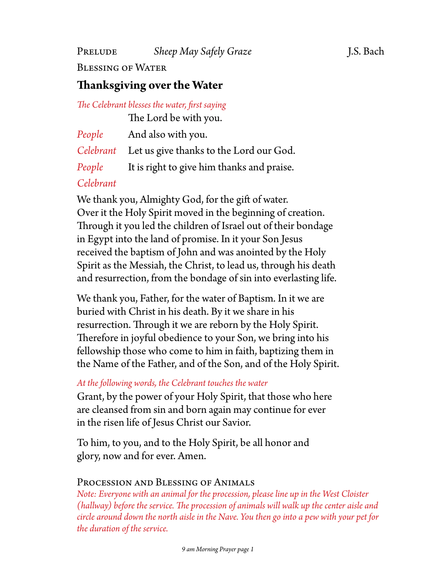Blessing of Water

### **Thanksgiving over the Water**

*The Celebrant blesses the water, first saying*

The Lord be with you.

| People | And also with you.                                |
|--------|---------------------------------------------------|
|        | Celebrant Let us give thanks to the Lord our God. |
| People | It is right to give him thanks and praise.        |

### *Celebrant*

We thank you, Almighty God, for the gift of water. Over it the Holy Spirit moved in the beginning of creation. Through it you led the children of Israel out of their bondage in Egypt into the land of promise. In it your Son Jesus received the baptism of John and was anointed by the Holy Spirit as the Messiah, the Christ, to lead us, through his death and resurrection, from the bondage of sin into everlasting life.

We thank you, Father, for the water of Baptism. In it we are buried with Christ in his death. By it we share in his resurrection. Through it we are reborn by the Holy Spirit. Therefore in joyful obedience to your Son, we bring into his fellowship those who come to him in faith, baptizing them in the Name of the Father, and of the Son, and of the Holy Spirit.

#### *At the following words, the Celebrant touches the water*

Grant, by the power of your Holy Spirit, that those who here are cleansed from sin and born again may continue for ever in the risen life of Jesus Christ our Savior.

To him, to you, and to the Holy Spirit, be all honor and glory, now and for ever. Amen.

#### Procession and Blessing of Animals

*Note: Everyone with an animal for the procession, please line up in the West Cloister (hallway) before the service. The procession of animals will walk up the center aisle and circle around down the north aisle in the Nave. You then go into a pew with your pet for the duration of the service.*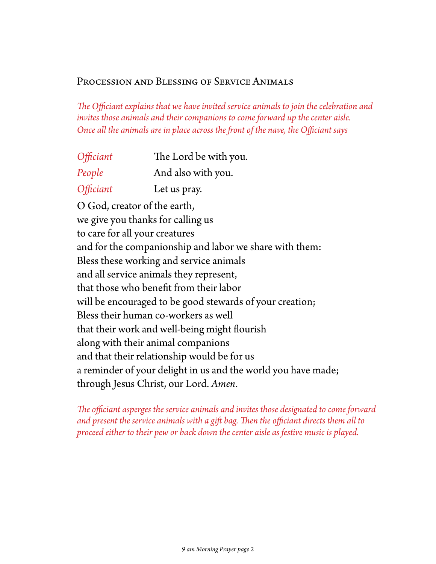#### Procession and Blessing of Service Animals

*The Officiant explains that we have invited service animals to join the celebration and invites those animals and their companions to come forward up the center aisle. Once all the animals are in place across the front of the nave, the Officiant says*

| <i><b>Officiant</b></i> | The Lord be with you. |
|-------------------------|-----------------------|
| People                  | And also with you.    |
| Officiant               | Let us pray.          |

O God, creator of the earth, we give you thanks for calling us to care for all your creatures and for the companionship and labor we share with them: Bless these working and service animals and all service animals they represent, that those who benefit from their labor will be encouraged to be good stewards of your creation; Bless their human co-workers as well that their work and well-being might flourish along with their animal companions and that their relationship would be for us a reminder of your delight in us and the world you have made; through Jesus Christ, our Lord. *Amen*.

*The officiant asperges the service animals and invites those designated to come forward and present the service animals with a gift bag. Then the officiant directs them all to proceed either to their pew or back down the center aisle as festive music is played.*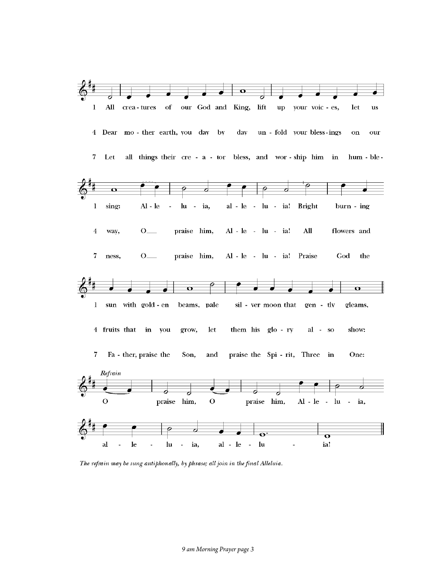

The refrain may be sung antiphonally, by phrase; all join in the final Alleluia.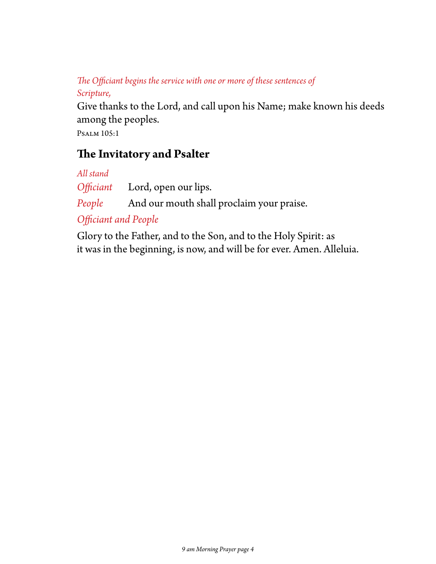### *The Officiant begins the service with one or more of these sentences of Scripture,*

Give thanks to the Lord, and call upon his Name; make known his deeds among the peoples.

Psalm 105:1

## **The Invitatory and Psalter**

*All stand*

*Officiant* Lord, open our lips.

People And our mouth shall proclaim your praise.

*Officiant and People*

Glory to the Father, and to the Son, and to the Holy Spirit: as it was in the beginning, is now, and will be for ever. Amen. Alleluia.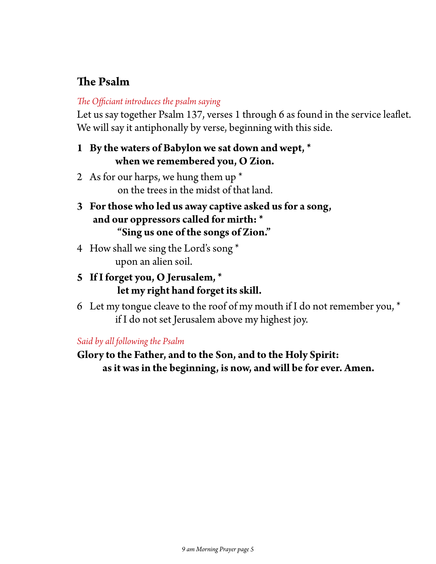# **The Psalm**

#### *The Officiant introduces the psalm saying*

Let us say together Psalm 137, verses 1 through 6 as found in the service leaflet. We will say it antiphonally by verse, beginning with this side.

### **1 By the waters of Babylon we sat down and wept, \* when we remembered you, O Zion.**

- 2 As for our harps, we hung them up  $*$ on the trees in the midst of that land.
- **3 For those who led us away captive asked us for a song, and our oppressors called for mirth: \* "Sing us one of the songs of Zion."**
- 4 How shall we sing the Lord's song \* upon an alien soil.
- **5 If I forget you, O Jerusalem, \* let my right hand forget its skill.**
- 6 Let my tongue cleave to the roof of my mouth if I do not remember you,  $*$ if I do not set Jerusalem above my highest joy.

#### *Said by all following the Psalm*

**Glory to the Father, and to the Son, and to the Holy Spirit: as it was in the beginning, is now, and will be for ever. Amen.**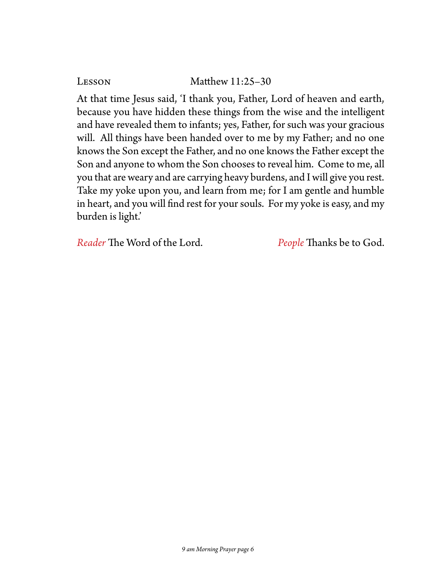#### LESSON Matthew 11:25-30

At that time Jesus said, 'I thank you, Father, Lord of heaven and earth, because you have hidden these things from the wise and the intelligent and have revealed them to infants; yes, Father, for such was your gracious will. All things have been handed over to me by my Father; and no one knows the Son except the Father, and no one knows the Father except the Son and anyone to whom the Son chooses to reveal him. Come to me, all you that are weary and are carrying heavy burdens, and I will give you rest. Take my yoke upon you, and learn from me; for I am gentle and humble in heart, and you will find rest for your souls. For my yoke is easy, and my burden is light.'

*Reader* The Word of the Lord. *People* Thanks be to God.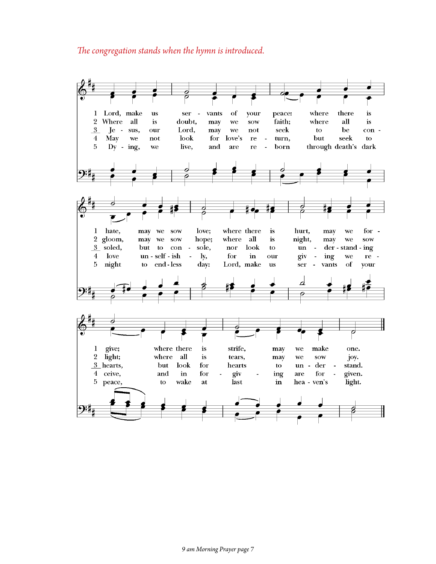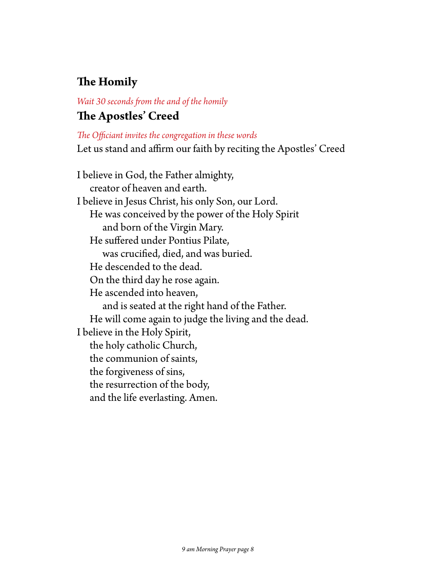# **The Homily**

### *Wait 30 seconds from the and of the homily* **The Apostles' Creed**

#### *The Officiant invites the congregation in these words*

Let us stand and affirm our faith by reciting the Apostles' Creed

I believe in God, the Father almighty, creator of heaven and earth. I believe in Jesus Christ, his only Son, our Lord. He was conceived by the power of the Holy Spirit and born of the Virgin Mary. He suffered under Pontius Pilate, was crucified, died, and was buried. He descended to the dead. On the third day he rose again. He ascended into heaven, and is seated at the right hand of the Father. He will come again to judge the living and the dead. I believe in the Holy Spirit, the holy catholic Church, the communion of saints, the forgiveness of sins, the resurrection of the body, and the life everlasting. Amen.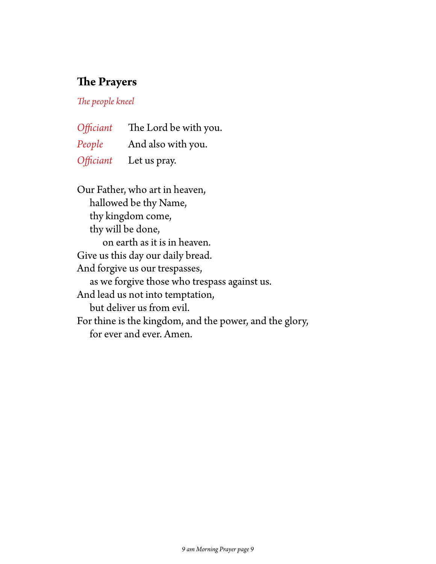### **The Prayers**

*The people kneel*

*Officiant* The Lord be with you. *People* And also with you. *Officiant* Let us pray.

Our Father, who art in heaven, hallowed be thy Name, thy kingdom come, thy will be done, on earth as it is in heaven. Give us this day our daily bread. And forgive us our trespasses, as we forgive those who trespass against us. And lead us not into temptation, but deliver us from evil. For thine is the kingdom, and the power, and the glory, for ever and ever. Amen.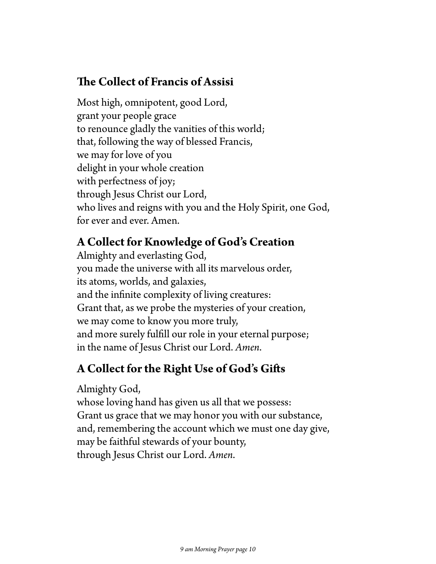## **The Collect of Francis of Assisi**

Most high, omnipotent, good Lord, grant your people grace to renounce gladly the vanities of this world; that, following the way of blessed Francis, we may for love of you delight in your whole creation with perfectness of joy; through Jesus Christ our Lord, who lives and reigns with you and the Holy Spirit, one God, for ever and ever. Amen.

## **A Collect for Knowledge of God's Creation**

Almighty and everlasting God, you made the universe with all its marvelous order, its atoms, worlds, and galaxies, and the infinite complexity of living creatures: Grant that, as we probe the mysteries of your creation, we may come to know you more truly, and more surely fulfill our role in your eternal purpose; in the name of Jesus Christ our Lord. *Amen*.

# **A Collect for the Right Use of God's Gifts**

Almighty God,

whose loving hand has given us all that we possess: Grant us grace that we may honor you with our substance, and, remembering the account which we must one day give, may be faithful stewards of your bounty, through Jesus Christ our Lord. *Amen*.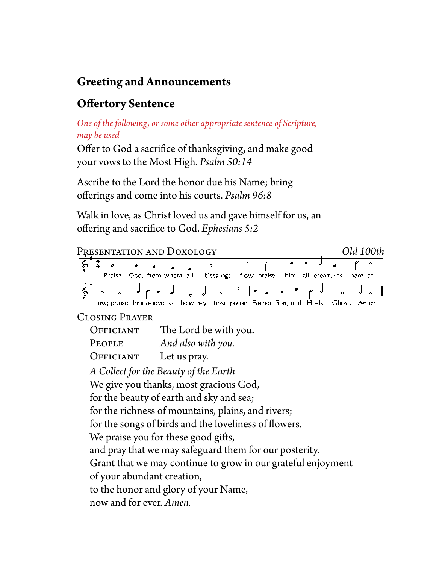# **Greeting and Announcements**

# **Offertory Sentence**

*One of the following, or some other appropriate sentence of Scripture, may be used*

Offer to God a sacrifice of thanksgiving, and make good your vows to the Most High. *Psalm 50:14*

Ascribe to the Lord the honor due his Name; bring offerings and come into his courts. *Psalm 96:8*

Walk in love, as Christ loved us and gave himself for us, an offering and sacrifice to God. *Ephesians 5:2*

| PRESENTATION AND DOXOLOGY                                                 |  | Old 100th    |  |  |
|---------------------------------------------------------------------------|--|--------------|--|--|
| $\frac{4}{3}$<br>٥<br>c                                                   |  |              |  |  |
| Praise God, from whom all bless-ings flow; praise<br>him, all creatures   |  | here be -    |  |  |
|                                                                           |  |              |  |  |
| low; praise him above, yet heav'n-ly thost: praise Facher, Son, and Ho-ly |  | Chost, Amen. |  |  |
| <b>CLOSING PRAYER</b>                                                     |  |              |  |  |
| The Lord be with you.<br>OFFICIANT                                        |  |              |  |  |
| And also with you.<br>PEOPLE                                              |  |              |  |  |
| OFFICIANT<br>Let us pray.                                                 |  |              |  |  |
| A Collect for the Beauty of the Earth                                     |  |              |  |  |
| We give you thanks, most gracious God,                                    |  |              |  |  |
| for the beauty of earth and sky and sea;                                  |  |              |  |  |
| for the richness of mountains, plains, and rivers;                        |  |              |  |  |
| for the songs of birds and the loveliness of flowers.                     |  |              |  |  |
| We praise you for these good gifts,                                       |  |              |  |  |
| and pray that we may safeguard them for our posterity.                    |  |              |  |  |
| Grant that we may continue to grow in our grateful enjoyment              |  |              |  |  |
| of your abundant creation,                                                |  |              |  |  |
| to the honor and glory of your Name,                                      |  |              |  |  |
| now and for ever. Amen.                                                   |  |              |  |  |
|                                                                           |  |              |  |  |